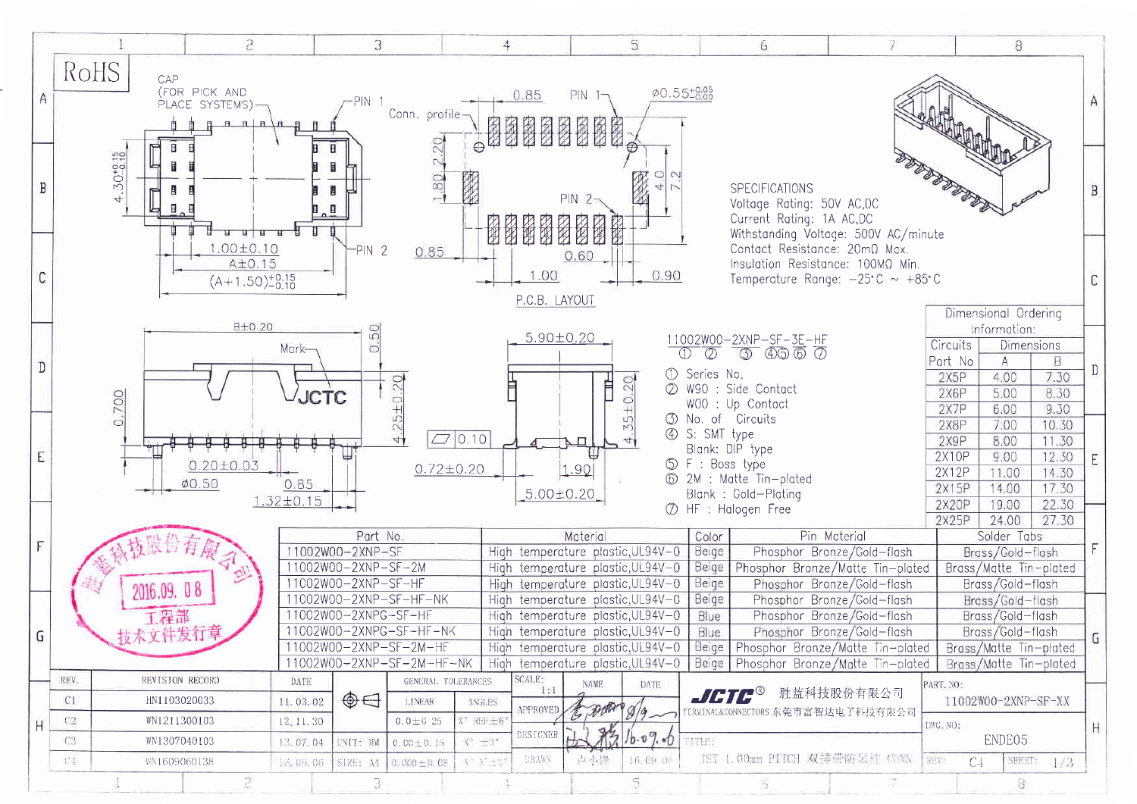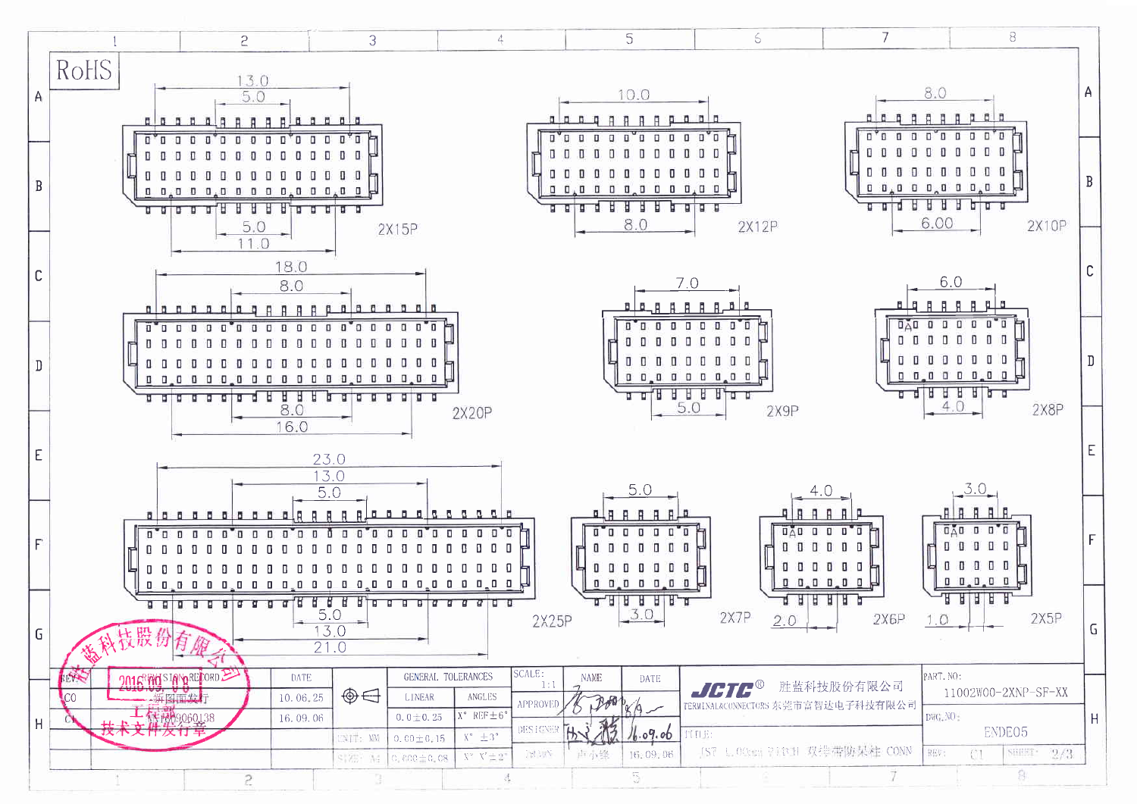